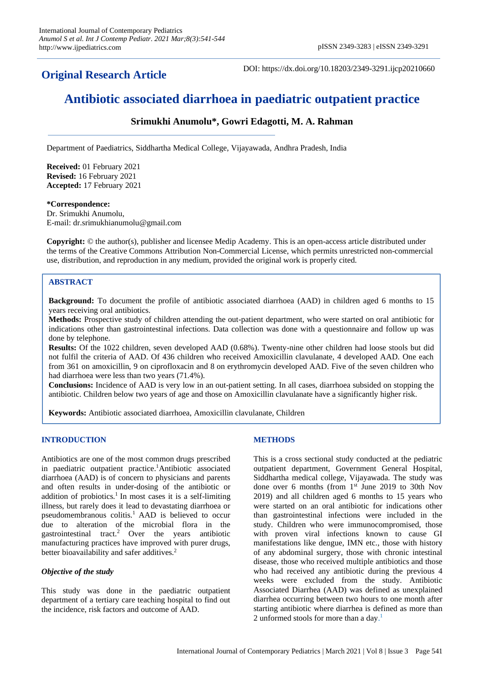## **Original Research Article**

DOI: https://dx.doi.org/10.18203/2349-3291.ijcp20210660

# **Antibiotic associated diarrhoea in paediatric outpatient practice**

### **Srimukhi Anumolu\*, Gowri Edagotti, M. A. Rahman**

Department of Paediatrics, Siddhartha Medical College, Vijayawada, Andhra Pradesh, India

**Received:** 01 February 2021 **Revised:** 16 February 2021 **Accepted:** 17 February 2021

#### **\*Correspondence:**

Dr. Srimukhi Anumolu, E-mail: dr.srimukhianumolu@gmail.com

**Copyright:** © the author(s), publisher and licensee Medip Academy. This is an open-access article distributed under the terms of the Creative Commons Attribution Non-Commercial License, which permits unrestricted non-commercial use, distribution, and reproduction in any medium, provided the original work is properly cited.

#### **ABSTRACT**

**Background:** To document the profile of antibiotic associated diarrhoea (AAD) in children aged 6 months to 15 years receiving oral antibiotics.

**Methods:** Prospective study of children attending the out-patient department, who were started on oral antibiotic for indications other than gastrointestinal infections. Data collection was done with a questionnaire and follow up was done by telephone.

**Results:** Of the 1022 children, seven developed AAD (0.68%). Twenty-nine other children had loose stools but did not fulfil the criteria of AAD. Of 436 children who received Amoxicillin clavulanate, 4 developed AAD. One each from 361 on amoxicillin, 9 on ciprofloxacin and 8 on erythromycin developed AAD. Five of the seven children who had diarrhoea were less than two years (71.4%).

**Conclusions:** Incidence of AAD is very low in an out-patient setting. In all cases, diarrhoea subsided on stopping the antibiotic. Children below two years of age and those on Amoxicillin clavulanate have a significantly higher risk.

**Keywords:** Antibiotic associated diarrhoea, Amoxicillin clavulanate, Children

#### **INTRODUCTION**

Antibiotics are one of the most common drugs prescribed in paediatric outpatient practice.<sup>1</sup>Antibiotic associated diarrhoea (AAD) is of concern to physicians and parents and often results in under-dosing of the antibiotic or addition of probiotics.<sup>1</sup> In most cases it is a self-limiting illness, but rarely does it lead to devastating diarrhoea or pseudomembranous colitis.<sup>1</sup> AAD is believed to occur due to alteration of the microbial flora in the gastrointestinal tract.<sup>2</sup> Over the years antibiotic manufacturing practices have improved with purer drugs, better bioavailability and safer additives.<sup>2</sup>

#### *Objective of the study*

This study was done in the paediatric outpatient department of a tertiary care teaching hospital to find out the incidence, risk factors and outcome of AAD.

#### **METHODS**

This is a cross sectional study conducted at the pediatric outpatient department, Government General Hospital, Siddhartha medical college, Vijayawada. The study was done over 6 months (from 1<sup>st</sup> June 2019 to 30th Nov 2019) and all children aged 6 months to 15 years who were started on an oral antibiotic for indications other than gastrointestinal infections were included in the study. Children who were immunocompromised, those with proven viral infections known to cause GI manifestations like dengue, IMN etc., those with history of any abdominal surgery, those with chronic intestinal disease, those who received multiple antibiotics and those who had received any antibiotic during the previous 4 weeks were excluded from the study. Antibiotic Associated Diarrhea (AAD) was defined as unexplained diarrhea occurring between two hours to one month after starting antibiotic where diarrhea is defined as more than 2 unformed stools for more than a day.<sup>1</sup>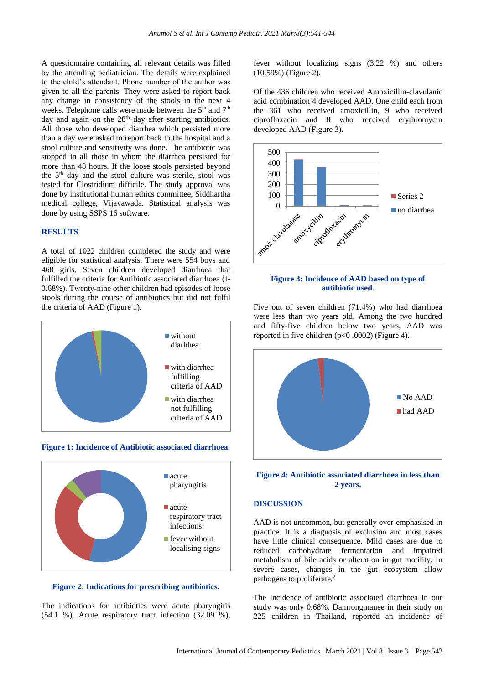A questionnaire containing all relevant details was filled by the attending pediatrician. The details were explained to the child's attendant. Phone number of the author was given to all the parents. They were asked to report back any change in consistency of the stools in the next 4 weeks. Telephone calls were made between the 5<sup>th</sup> and 7<sup>th</sup> day and again on the  $28<sup>th</sup>$  day after starting antibiotics. All those who developed diarrhea which persisted more than a day were asked to report back to the hospital and a stool culture and sensitivity was done. The antibiotic was stopped in all those in whom the diarrhea persisted for more than 48 hours. If the loose stools persisted beyond the 5<sup>th</sup> day and the stool culture was sterile, stool was tested for Clostridium difficile. The study approval was done by institutional human ethics committee, Siddhartha medical college, Vijayawada. Statistical analysis was done by using SSPS 16 software.

#### **RESULTS**

A total of 1022 children completed the study and were eligible for statistical analysis. There were 554 boys and 468 girls. Seven children developed diarrhoea that fulfilled the criteria for Antibiotic associated diarrhoea (I-0.68%). Twenty-nine other children had episodes of loose stools during the course of antibiotics but did not fulfil the criteria of AAD (Figure 1).



**Figure 1: Incidence of Antibiotic associated diarrhoea.**



**Figure 2: Indications for prescribing antibiotics.**

The indications for antibiotics were acute pharyngitis (54.1 %), Acute respiratory tract infection (32.09 %),

fever without localizing signs (3.22 %) and others (10.59%) (Figure 2).

Of the 436 children who received Amoxicillin-clavulanic acid combination 4 developed AAD. One child each from the 361 who received amoxicillin, 9 who received ciprofloxacin and 8 who received erythromycin developed AAD (Figure 3).



#### **Figure 3: Incidence of AAD based on type of antibiotic used.**

Five out of seven children (71.4%) who had diarrhoea were less than two years old. Among the two hundred and fifty-five children below two years, AAD was reported in five children  $(p<0.0002)$  (Figure 4).



#### **Figure 4: Antibiotic associated diarrhoea in less than 2 years.**

#### **DISCUSSION**

AAD is not uncommon, but generally over-emphasised in practice. It is a diagnosis of exclusion and most cases have little clinical consequence. Mild cases are due to reduced carbohydrate fermentation and impaired metabolism of bile acids or alteration in gut motility. In severe cases, changes in the gut ecosystem allow pathogens to proliferate.<sup>2</sup>

The incidence of antibiotic associated diarrhoea in our study was only 0.68%. Damrongmanee in their study on 225 children in Thailand, reported an incidence of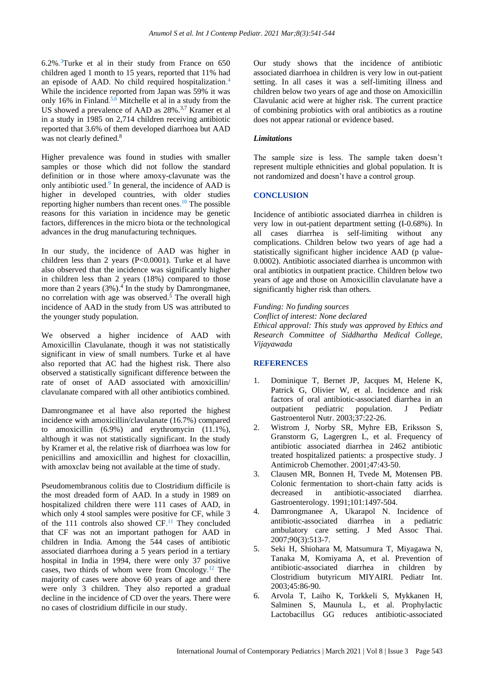6.2%. <sup>3</sup>Turke et al in their study from France on 650 children aged 1 month to 15 years, reported that 11% had an episode of AAD. No child required hospitalization. 4 While the incidence reported from Japan was 59% it was only 16% in Finland. 5,6 Mitchelle et al in a study from the US showed a prevalence of AAD as 28%.<sup>3,7</sup> Kramer et al in a study in 1985 on 2,714 children receiving antibiotic reported that 3.6% of them developed diarrhoea but AAD was not clearly defined.<sup>8</sup>

Higher prevalence was found in studies with smaller samples or those which did not follow the standard definition or in those where amoxy-clavunate was the only antibiotic used. 9 In general, the incidence of AAD is higher in developed countries, with older studies reporting higher numbers than recent ones. <sup>10</sup> The possible reasons for this variation in incidence may be genetic factors, differences in the micro biota or the technological advances in the drug manufacturing techniques.

In our study, the incidence of AAD was higher in children less than 2 years (P<0.0001). Turke et al have also observed that the incidence was significantly higher in children less than 2 years (18%) compared to those more than 2 years (3%).<sup>4</sup> In the study by Damrongmanee, no correlation with age was observed.<sup>5</sup> The overall high incidence of AAD in the study from US was attributed to the younger study population.

We observed a higher incidence of AAD with Amoxicillin Clavulanate, though it was not statistically significant in view of small numbers. Turke et al have also reported that AC had the highest risk. There also observed a statistically significant difference between the rate of onset of AAD associated with amoxicillin/ clavulanate compared with all other antibiotics combined.

Damrongmanee et al have also reported the highest incidence with amoxicillin/clavulanate (16.7%) compared to amoxicillin (6.9%) and erythromycin (11.1%), although it was not statistically significant. In the study by Kramer et al, the relative risk of diarrhoea was low for penicillins and amoxicillin and highest for cloxacillin, with amoxclav being not available at the time of study.

Pseudomembranous colitis due to Clostridium difficile is the most dreaded form of AAD. In a study in 1989 on hospitalized children there were 111 cases of AAD, in which only 4 stool samples were positive for CF, while 3 of the 111 controls also showed CF.<sup>11</sup> They concluded that CF was not an important pathogen for AAD in children in India. Among the 544 cases of antibiotic associated diarrhoea during a 5 years period in a tertiary hospital in India in 1994, there were only 37 positive cases, two thirds of whom were from Oncology. $12$  The majority of cases were above 60 years of age and there were only 3 children. They also reported a gradual decline in the incidence of CD over the years. There were no cases of clostridium difficile in our study.

Our study shows that the incidence of antibiotic associated diarrhoea in children is very low in out-patient setting. In all cases it was a self-limiting illness and children below two years of age and those on Amoxicillin Clavulanic acid were at higher risk. The current practice of combining probiotics with oral antibiotics as a routine does not appear rational or evidence based.

#### *Limitations*

The sample size is less. The sample taken doesn't represent multiple ethnicities and global population. It is not randomized and doesn't have a control group.

#### **CONCLUSION**

Incidence of antibiotic associated diarrhea in children is very low in out-patient department setting (I-0.68%). In all cases diarrhea is self-limiting without any complications. Children below two years of age had a statistically significant higher incidence AAD (p value-0.0002). Antibiotic associated diarrhea is uncommon with oral antibiotics in outpatient practice. Children below two years of age and those on Amoxicillin clavulanate have a significantly higher risk than others.

*Funding: No funding sources Conflict of interest: None declared Ethical approval: This study was approved by Ethics and Research Committee of Siddhartha Medical College, Vijayawada*

#### **REFERENCES**

- 1. Dominique T, Bernet JP, Jacques M, Helene K, Patrick G, Olivier W, et al. Incidence and risk factors of oral antibiotic-associated diarrhea in an outpatient pediatric population. J Pediatr Gastroenterol Nutr. 2003;37:22-26.
- 2. Wistrom J, Norby SR, Myhre EB, Eriksson S, Granstorm G, Lagergren L, et al. Frequency of antibiotic associated diarrhea in 2462 antibiotic treated hospitalized patients: a prospective study. J Antimicrob Chemother. 2001;47:43-50.
- 3. Clausen MR, Bonnen H, Tvede M, Motensen PB. Colonic fermentation to short-chain fatty acids is decreased in antibiotic-associated diarrhea. Gastroenterology. 1991;101:1497-504.
- 4. Damrongmanee A, Ukarapol N. Incidence of antibiotic-associated diarrhea in a pediatric ambulatory care setting. J Med Assoc Thai. 2007;90(3):513-7.
- 5. Seki H, Shiohara M, Matsumura T, Miyagawa N, Tanaka M, Komiyama A, et al. Prevention of antibiotic-associated diarrhea in children by Clostridium butyricum MIYAIRI. Pediatr Int. 2003;45:86-90.
- 6. Arvola T, Laiho K, Torkkeli S, Mykkanen H, Salminen S, Maunula L, et al. Prophylactic Lactobacillus GG reduces antibiotic-associated